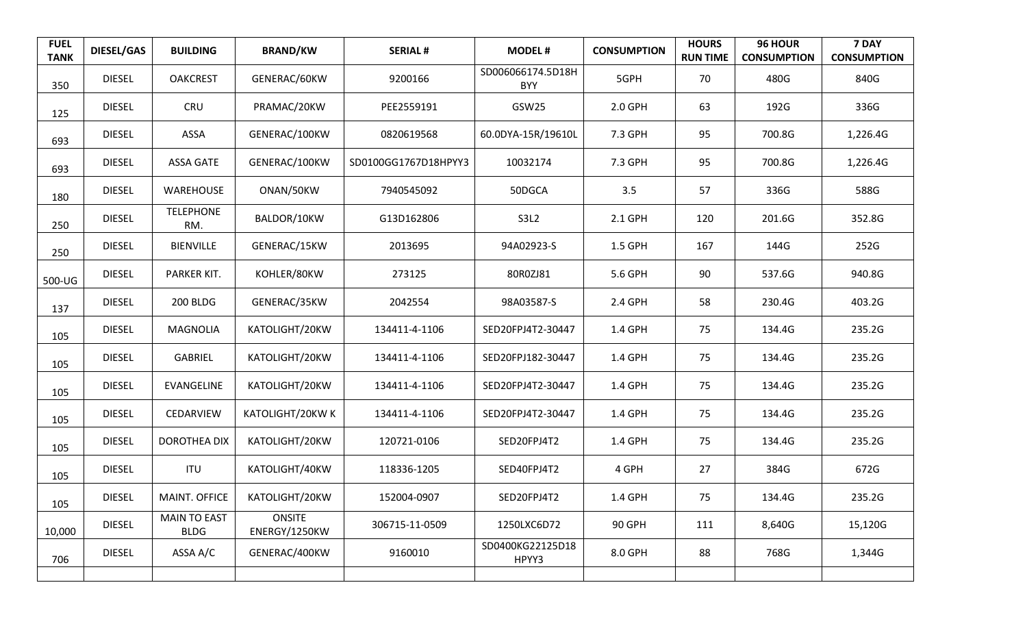| <b>FUEL</b><br><b>TANK</b> | <b>DIESEL/GAS</b> | <b>BUILDING</b>                    | <b>BRAND/KW</b>                | <b>SERIAL#</b>       | <b>MODEL#</b>                   | <b>CONSUMPTION</b> | <b>HOURS</b><br><b>RUN TIME</b> | 96 HOUR<br><b>CONSUMPTION</b> | 7 DAY<br><b>CONSUMPTION</b> |
|----------------------------|-------------------|------------------------------------|--------------------------------|----------------------|---------------------------------|--------------------|---------------------------------|-------------------------------|-----------------------------|
| 350                        | <b>DIESEL</b>     | <b>OAKCREST</b>                    | GENERAC/60KW                   | 9200166              | SD006066174.5D18H<br><b>BYY</b> | 5GPH               | 70                              | 480G                          | 840G                        |
| 125                        | <b>DIESEL</b>     | <b>CRU</b>                         | PRAMAC/20KW                    | PEE2559191           | GSW25                           | 2.0 GPH            | 63                              | 192G                          | 336G                        |
| 693                        | <b>DIESEL</b>     | ASSA                               | GENERAC/100KW                  | 0820619568           | 60.0DYA-15R/19610L              | 7.3 GPH            | 95                              | 700.8G                        | 1,226.4G                    |
| 693                        | <b>DIESEL</b>     | <b>ASSA GATE</b>                   | GENERAC/100KW                  | SD0100GG1767D18HPYY3 | 10032174                        | 7.3 GPH            | 95                              | 700.8G                        | 1,226.4G                    |
| 180                        | <b>DIESEL</b>     | WAREHOUSE                          | ONAN/50KW                      | 7940545092           | 50DGCA                          | 3.5                | 57                              | 336G                          | 588G                        |
| 250                        | <b>DIESEL</b>     | <b>TELEPHONE</b><br>RM.            | BALDOR/10KW                    | G13D162806           | S3L2                            | 2.1 GPH            | 120                             | 201.6G                        | 352.8G                      |
| 250                        | <b>DIESEL</b>     | <b>BIENVILLE</b>                   | GENERAC/15KW                   | 2013695              | 94A02923-S                      | 1.5 GPH            | 167                             | 144G                          | 252G                        |
| 500-UG                     | <b>DIESEL</b>     | PARKER KIT.                        | KOHLER/80KW                    | 273125               | 80R0ZJ81                        | 5.6 GPH            | 90                              | 537.6G                        | 940.8G                      |
| 137                        | <b>DIESEL</b>     | <b>200 BLDG</b>                    | GENERAC/35KW                   | 2042554              | 98A03587-S                      | 2.4 GPH            | 58                              | 230.4G                        | 403.2G                      |
| 105                        | <b>DIESEL</b>     | <b>MAGNOLIA</b>                    | KATOLIGHT/20KW                 | 134411-4-1106        | SED20FPJ4T2-30447               | 1.4 GPH            | 75                              | 134.4G                        | 235.2G                      |
| 105                        | <b>DIESEL</b>     | GABRIEL                            | KATOLIGHT/20KW                 | 134411-4-1106        | SED20FPJ182-30447               | 1.4 GPH            | 75                              | 134.4G                        | 235.2G                      |
| 105                        | <b>DIESEL</b>     | EVANGELINE                         | KATOLIGHT/20KW                 | 134411-4-1106        | SED20FPJ4T2-30447               | 1.4 GPH            | 75                              | 134.4G                        | 235.2G                      |
| 105                        | <b>DIESEL</b>     | CEDARVIEW                          | KATOLIGHT/20KW K               | 134411-4-1106        | SED20FPJ4T2-30447               | 1.4 GPH            | 75                              | 134.4G                        | 235.2G                      |
| 105                        | <b>DIESEL</b>     | <b>DOROTHEA DIX</b>                | KATOLIGHT/20KW                 | 120721-0106          | SED20FPJ4T2                     | 1.4 GPH            | 75                              | 134.4G                        | 235.2G                      |
| 105                        | <b>DIESEL</b>     | <b>ITU</b>                         | KATOLIGHT/40KW                 | 118336-1205          | SED40FPJ4T2                     | 4 GPH              | 27                              | 384G                          | 672G                        |
| 105                        | <b>DIESEL</b>     | MAINT. OFFICE                      | KATOLIGHT/20KW                 | 152004-0907          | SED20FPJ4T2                     | 1.4 GPH            | 75                              | 134.4G                        | 235.2G                      |
| 10,000                     | <b>DIESEL</b>     | <b>MAIN TO EAST</b><br><b>BLDG</b> | <b>ONSITE</b><br>ENERGY/1250KW | 306715-11-0509       | 1250LXC6D72                     | 90 GPH             | 111                             | 8,640G                        | 15,120G                     |
| 706                        | <b>DIESEL</b>     | ASSA A/C                           | GENERAC/400KW                  | 9160010              | SD0400KG22125D18<br>HPYY3       | 8.0 GPH            | 88                              | 768G                          | 1,344G                      |
|                            |                   |                                    |                                |                      |                                 |                    |                                 |                               |                             |